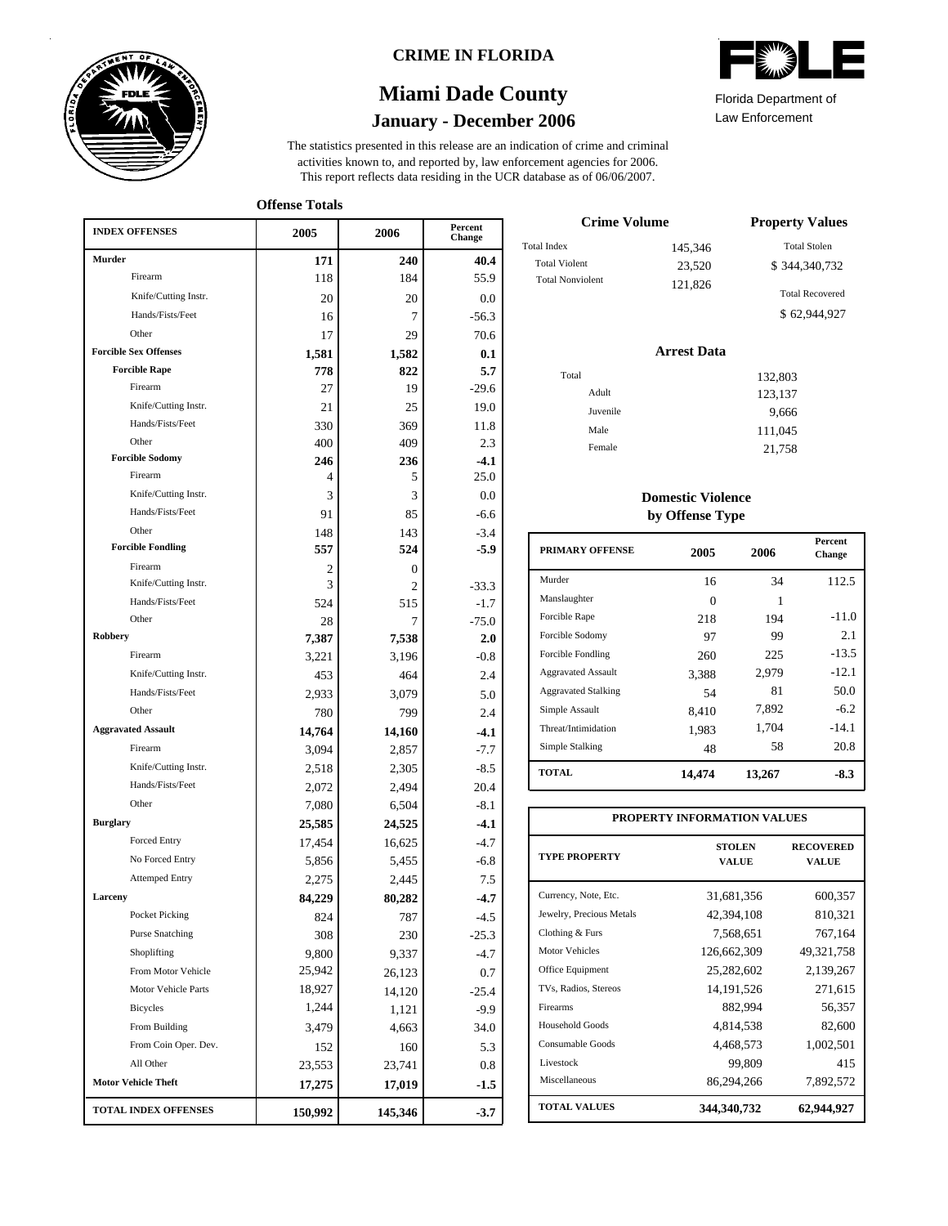

## **CRIME IN FLORIDA**

# **January - December 2006 Miami Dade County**

This report reflects data residing in the UCR database as of 06/06/2007. activities known to, and reported by, law enforcement agencies for 2006. The statistics presented in this release are an indication of crime and criminal

**Offense Totals**

| <b>Murder</b><br>240<br>40.4<br>171<br>Firearm<br>184<br>55.9<br>118<br>Knife/Cutting Instr.<br>0.0<br>20<br>20<br>Hands/Fists/Feet<br>$-56.3$<br>16<br>7<br>Other<br>29<br>70.6<br>17<br><b>Forcible Sex Offenses</b><br>0.1<br>1,581<br>1,582<br><b>Forcible Rape</b><br>5.7<br>778<br>822<br>Firearm<br>27<br>$-29.6$<br>19<br>Knife/Cutting Instr.<br>21<br>25<br>19.0<br>Hands/Fists/Feet<br>330<br>369<br>11.8<br>Other<br>400<br>409<br>2.3<br><b>Forcible Sodomy</b><br>246<br>236<br>$-4.1$<br>Firearm<br>25.0<br>4<br>5<br>Knife/Cutting Instr.<br>3<br>3<br>0.0<br>Hands/Fists/Feet<br>91<br>85<br>$-6.6$<br>Other<br>$-3.4$<br>148<br>143<br><b>Forcible Fondling</b><br>557<br>524<br>$-5.9$<br>Firearm<br>$\boldsymbol{0}$<br>2<br>Knife/Cutting Instr.<br>3<br>2<br>$-33.3$<br>Hands/Fists/Feet<br>$-1.7$<br>524<br>515<br>Other<br>$-75.0$<br>28<br>7<br>Robbery<br>7,387<br>7,538<br>2.0<br>Firearm<br>3,221<br>3,196<br>$-0.8$<br>Knife/Cutting Instr.<br>453<br>2.4<br>464<br>Hands/Fists/Feet<br>2,933<br>3,079<br>5.0<br>Other<br>2.4<br>780<br>799<br><b>Aggravated Assault</b><br>14,764<br>14,160<br>$-4.1$<br>Firearm<br>$-7.7$<br>3,094<br>2,857<br>Knife/Cutting Instr.<br>2,518<br>$-8.5$<br>2,305<br>Hands/Fists/Feet<br>20.4<br>2,072<br>2,494<br>Other<br>7,080<br>6,504<br>$-8.1$<br><b>Burglary</b><br>24,525<br>$-4.1$<br>25,585<br>Forced Entry<br>$-4.7$<br>17,454<br>16,625<br>No Forced Entry<br>5,856<br>$-6.8$<br>5,455<br><b>Attemped Entry</b><br>7.5<br>2,275<br>2,445<br>Larceny<br>84,229<br>$-4.7$<br>80,282<br>Pocket Picking<br>824<br>787<br>-4.5<br><b>Purse Snatching</b><br>308<br>230<br>$-25.3$<br>Shoplifting<br>$-4.7$<br>9,800<br>9,337<br>From Motor Vehicle<br>25,942<br>0.7<br>26,123<br>Motor Vehicle Parts<br>18,927<br>14,120<br>$-25.4$<br>1,244<br><b>Bicycles</b><br>1,121<br>$-9.9$<br>From Building<br>3,479<br>4,663<br>34.0<br>From Coin Oper. Dev.<br>5.3<br>152<br>160<br>All Other<br>23,553<br>23,741<br>0.8<br><b>Motor Vehicle Theft</b><br>17,275<br>17,019<br>$-1.5$<br>TOTAL INDEX OFFENSES<br>150,992<br>145,346<br>$-3.7$ | <b>INDEX OFFENSES</b> | 2005 | 2006 | Percent<br>Change |
|------------------------------------------------------------------------------------------------------------------------------------------------------------------------------------------------------------------------------------------------------------------------------------------------------------------------------------------------------------------------------------------------------------------------------------------------------------------------------------------------------------------------------------------------------------------------------------------------------------------------------------------------------------------------------------------------------------------------------------------------------------------------------------------------------------------------------------------------------------------------------------------------------------------------------------------------------------------------------------------------------------------------------------------------------------------------------------------------------------------------------------------------------------------------------------------------------------------------------------------------------------------------------------------------------------------------------------------------------------------------------------------------------------------------------------------------------------------------------------------------------------------------------------------------------------------------------------------------------------------------------------------------------------------------------------------------------------------------------------------------------------------------------------------------------------------------------------------------------------------------------------------------------------------------------------------------------------------------------------------------------------------------------------------------------------------------------------------------------------|-----------------------|------|------|-------------------|
|                                                                                                                                                                                                                                                                                                                                                                                                                                                                                                                                                                                                                                                                                                                                                                                                                                                                                                                                                                                                                                                                                                                                                                                                                                                                                                                                                                                                                                                                                                                                                                                                                                                                                                                                                                                                                                                                                                                                                                                                                                                                                                            |                       |      |      |                   |
|                                                                                                                                                                                                                                                                                                                                                                                                                                                                                                                                                                                                                                                                                                                                                                                                                                                                                                                                                                                                                                                                                                                                                                                                                                                                                                                                                                                                                                                                                                                                                                                                                                                                                                                                                                                                                                                                                                                                                                                                                                                                                                            |                       |      |      |                   |
|                                                                                                                                                                                                                                                                                                                                                                                                                                                                                                                                                                                                                                                                                                                                                                                                                                                                                                                                                                                                                                                                                                                                                                                                                                                                                                                                                                                                                                                                                                                                                                                                                                                                                                                                                                                                                                                                                                                                                                                                                                                                                                            |                       |      |      |                   |
|                                                                                                                                                                                                                                                                                                                                                                                                                                                                                                                                                                                                                                                                                                                                                                                                                                                                                                                                                                                                                                                                                                                                                                                                                                                                                                                                                                                                                                                                                                                                                                                                                                                                                                                                                                                                                                                                                                                                                                                                                                                                                                            |                       |      |      |                   |
|                                                                                                                                                                                                                                                                                                                                                                                                                                                                                                                                                                                                                                                                                                                                                                                                                                                                                                                                                                                                                                                                                                                                                                                                                                                                                                                                                                                                                                                                                                                                                                                                                                                                                                                                                                                                                                                                                                                                                                                                                                                                                                            |                       |      |      |                   |
|                                                                                                                                                                                                                                                                                                                                                                                                                                                                                                                                                                                                                                                                                                                                                                                                                                                                                                                                                                                                                                                                                                                                                                                                                                                                                                                                                                                                                                                                                                                                                                                                                                                                                                                                                                                                                                                                                                                                                                                                                                                                                                            |                       |      |      |                   |
|                                                                                                                                                                                                                                                                                                                                                                                                                                                                                                                                                                                                                                                                                                                                                                                                                                                                                                                                                                                                                                                                                                                                                                                                                                                                                                                                                                                                                                                                                                                                                                                                                                                                                                                                                                                                                                                                                                                                                                                                                                                                                                            |                       |      |      |                   |
|                                                                                                                                                                                                                                                                                                                                                                                                                                                                                                                                                                                                                                                                                                                                                                                                                                                                                                                                                                                                                                                                                                                                                                                                                                                                                                                                                                                                                                                                                                                                                                                                                                                                                                                                                                                                                                                                                                                                                                                                                                                                                                            |                       |      |      |                   |
|                                                                                                                                                                                                                                                                                                                                                                                                                                                                                                                                                                                                                                                                                                                                                                                                                                                                                                                                                                                                                                                                                                                                                                                                                                                                                                                                                                                                                                                                                                                                                                                                                                                                                                                                                                                                                                                                                                                                                                                                                                                                                                            |                       |      |      |                   |
|                                                                                                                                                                                                                                                                                                                                                                                                                                                                                                                                                                                                                                                                                                                                                                                                                                                                                                                                                                                                                                                                                                                                                                                                                                                                                                                                                                                                                                                                                                                                                                                                                                                                                                                                                                                                                                                                                                                                                                                                                                                                                                            |                       |      |      |                   |
|                                                                                                                                                                                                                                                                                                                                                                                                                                                                                                                                                                                                                                                                                                                                                                                                                                                                                                                                                                                                                                                                                                                                                                                                                                                                                                                                                                                                                                                                                                                                                                                                                                                                                                                                                                                                                                                                                                                                                                                                                                                                                                            |                       |      |      |                   |
|                                                                                                                                                                                                                                                                                                                                                                                                                                                                                                                                                                                                                                                                                                                                                                                                                                                                                                                                                                                                                                                                                                                                                                                                                                                                                                                                                                                                                                                                                                                                                                                                                                                                                                                                                                                                                                                                                                                                                                                                                                                                                                            |                       |      |      |                   |
|                                                                                                                                                                                                                                                                                                                                                                                                                                                                                                                                                                                                                                                                                                                                                                                                                                                                                                                                                                                                                                                                                                                                                                                                                                                                                                                                                                                                                                                                                                                                                                                                                                                                                                                                                                                                                                                                                                                                                                                                                                                                                                            |                       |      |      |                   |
|                                                                                                                                                                                                                                                                                                                                                                                                                                                                                                                                                                                                                                                                                                                                                                                                                                                                                                                                                                                                                                                                                                                                                                                                                                                                                                                                                                                                                                                                                                                                                                                                                                                                                                                                                                                                                                                                                                                                                                                                                                                                                                            |                       |      |      |                   |
|                                                                                                                                                                                                                                                                                                                                                                                                                                                                                                                                                                                                                                                                                                                                                                                                                                                                                                                                                                                                                                                                                                                                                                                                                                                                                                                                                                                                                                                                                                                                                                                                                                                                                                                                                                                                                                                                                                                                                                                                                                                                                                            |                       |      |      |                   |
|                                                                                                                                                                                                                                                                                                                                                                                                                                                                                                                                                                                                                                                                                                                                                                                                                                                                                                                                                                                                                                                                                                                                                                                                                                                                                                                                                                                                                                                                                                                                                                                                                                                                                                                                                                                                                                                                                                                                                                                                                                                                                                            |                       |      |      |                   |
|                                                                                                                                                                                                                                                                                                                                                                                                                                                                                                                                                                                                                                                                                                                                                                                                                                                                                                                                                                                                                                                                                                                                                                                                                                                                                                                                                                                                                                                                                                                                                                                                                                                                                                                                                                                                                                                                                                                                                                                                                                                                                                            |                       |      |      |                   |
|                                                                                                                                                                                                                                                                                                                                                                                                                                                                                                                                                                                                                                                                                                                                                                                                                                                                                                                                                                                                                                                                                                                                                                                                                                                                                                                                                                                                                                                                                                                                                                                                                                                                                                                                                                                                                                                                                                                                                                                                                                                                                                            |                       |      |      |                   |
|                                                                                                                                                                                                                                                                                                                                                                                                                                                                                                                                                                                                                                                                                                                                                                                                                                                                                                                                                                                                                                                                                                                                                                                                                                                                                                                                                                                                                                                                                                                                                                                                                                                                                                                                                                                                                                                                                                                                                                                                                                                                                                            |                       |      |      |                   |
|                                                                                                                                                                                                                                                                                                                                                                                                                                                                                                                                                                                                                                                                                                                                                                                                                                                                                                                                                                                                                                                                                                                                                                                                                                                                                                                                                                                                                                                                                                                                                                                                                                                                                                                                                                                                                                                                                                                                                                                                                                                                                                            |                       |      |      |                   |
|                                                                                                                                                                                                                                                                                                                                                                                                                                                                                                                                                                                                                                                                                                                                                                                                                                                                                                                                                                                                                                                                                                                                                                                                                                                                                                                                                                                                                                                                                                                                                                                                                                                                                                                                                                                                                                                                                                                                                                                                                                                                                                            |                       |      |      |                   |
|                                                                                                                                                                                                                                                                                                                                                                                                                                                                                                                                                                                                                                                                                                                                                                                                                                                                                                                                                                                                                                                                                                                                                                                                                                                                                                                                                                                                                                                                                                                                                                                                                                                                                                                                                                                                                                                                                                                                                                                                                                                                                                            |                       |      |      |                   |
|                                                                                                                                                                                                                                                                                                                                                                                                                                                                                                                                                                                                                                                                                                                                                                                                                                                                                                                                                                                                                                                                                                                                                                                                                                                                                                                                                                                                                                                                                                                                                                                                                                                                                                                                                                                                                                                                                                                                                                                                                                                                                                            |                       |      |      |                   |
|                                                                                                                                                                                                                                                                                                                                                                                                                                                                                                                                                                                                                                                                                                                                                                                                                                                                                                                                                                                                                                                                                                                                                                                                                                                                                                                                                                                                                                                                                                                                                                                                                                                                                                                                                                                                                                                                                                                                                                                                                                                                                                            |                       |      |      |                   |
|                                                                                                                                                                                                                                                                                                                                                                                                                                                                                                                                                                                                                                                                                                                                                                                                                                                                                                                                                                                                                                                                                                                                                                                                                                                                                                                                                                                                                                                                                                                                                                                                                                                                                                                                                                                                                                                                                                                                                                                                                                                                                                            |                       |      |      |                   |
|                                                                                                                                                                                                                                                                                                                                                                                                                                                                                                                                                                                                                                                                                                                                                                                                                                                                                                                                                                                                                                                                                                                                                                                                                                                                                                                                                                                                                                                                                                                                                                                                                                                                                                                                                                                                                                                                                                                                                                                                                                                                                                            |                       |      |      |                   |
|                                                                                                                                                                                                                                                                                                                                                                                                                                                                                                                                                                                                                                                                                                                                                                                                                                                                                                                                                                                                                                                                                                                                                                                                                                                                                                                                                                                                                                                                                                                                                                                                                                                                                                                                                                                                                                                                                                                                                                                                                                                                                                            |                       |      |      |                   |
|                                                                                                                                                                                                                                                                                                                                                                                                                                                                                                                                                                                                                                                                                                                                                                                                                                                                                                                                                                                                                                                                                                                                                                                                                                                                                                                                                                                                                                                                                                                                                                                                                                                                                                                                                                                                                                                                                                                                                                                                                                                                                                            |                       |      |      |                   |
|                                                                                                                                                                                                                                                                                                                                                                                                                                                                                                                                                                                                                                                                                                                                                                                                                                                                                                                                                                                                                                                                                                                                                                                                                                                                                                                                                                                                                                                                                                                                                                                                                                                                                                                                                                                                                                                                                                                                                                                                                                                                                                            |                       |      |      |                   |
|                                                                                                                                                                                                                                                                                                                                                                                                                                                                                                                                                                                                                                                                                                                                                                                                                                                                                                                                                                                                                                                                                                                                                                                                                                                                                                                                                                                                                                                                                                                                                                                                                                                                                                                                                                                                                                                                                                                                                                                                                                                                                                            |                       |      |      |                   |
|                                                                                                                                                                                                                                                                                                                                                                                                                                                                                                                                                                                                                                                                                                                                                                                                                                                                                                                                                                                                                                                                                                                                                                                                                                                                                                                                                                                                                                                                                                                                                                                                                                                                                                                                                                                                                                                                                                                                                                                                                                                                                                            |                       |      |      |                   |
|                                                                                                                                                                                                                                                                                                                                                                                                                                                                                                                                                                                                                                                                                                                                                                                                                                                                                                                                                                                                                                                                                                                                                                                                                                                                                                                                                                                                                                                                                                                                                                                                                                                                                                                                                                                                                                                                                                                                                                                                                                                                                                            |                       |      |      |                   |
|                                                                                                                                                                                                                                                                                                                                                                                                                                                                                                                                                                                                                                                                                                                                                                                                                                                                                                                                                                                                                                                                                                                                                                                                                                                                                                                                                                                                                                                                                                                                                                                                                                                                                                                                                                                                                                                                                                                                                                                                                                                                                                            |                       |      |      |                   |
|                                                                                                                                                                                                                                                                                                                                                                                                                                                                                                                                                                                                                                                                                                                                                                                                                                                                                                                                                                                                                                                                                                                                                                                                                                                                                                                                                                                                                                                                                                                                                                                                                                                                                                                                                                                                                                                                                                                                                                                                                                                                                                            |                       |      |      |                   |
|                                                                                                                                                                                                                                                                                                                                                                                                                                                                                                                                                                                                                                                                                                                                                                                                                                                                                                                                                                                                                                                                                                                                                                                                                                                                                                                                                                                                                                                                                                                                                                                                                                                                                                                                                                                                                                                                                                                                                                                                                                                                                                            |                       |      |      |                   |
|                                                                                                                                                                                                                                                                                                                                                                                                                                                                                                                                                                                                                                                                                                                                                                                                                                                                                                                                                                                                                                                                                                                                                                                                                                                                                                                                                                                                                                                                                                                                                                                                                                                                                                                                                                                                                                                                                                                                                                                                                                                                                                            |                       |      |      |                   |
|                                                                                                                                                                                                                                                                                                                                                                                                                                                                                                                                                                                                                                                                                                                                                                                                                                                                                                                                                                                                                                                                                                                                                                                                                                                                                                                                                                                                                                                                                                                                                                                                                                                                                                                                                                                                                                                                                                                                                                                                                                                                                                            |                       |      |      |                   |
|                                                                                                                                                                                                                                                                                                                                                                                                                                                                                                                                                                                                                                                                                                                                                                                                                                                                                                                                                                                                                                                                                                                                                                                                                                                                                                                                                                                                                                                                                                                                                                                                                                                                                                                                                                                                                                                                                                                                                                                                                                                                                                            |                       |      |      |                   |
|                                                                                                                                                                                                                                                                                                                                                                                                                                                                                                                                                                                                                                                                                                                                                                                                                                                                                                                                                                                                                                                                                                                                                                                                                                                                                                                                                                                                                                                                                                                                                                                                                                                                                                                                                                                                                                                                                                                                                                                                                                                                                                            |                       |      |      |                   |
|                                                                                                                                                                                                                                                                                                                                                                                                                                                                                                                                                                                                                                                                                                                                                                                                                                                                                                                                                                                                                                                                                                                                                                                                                                                                                                                                                                                                                                                                                                                                                                                                                                                                                                                                                                                                                                                                                                                                                                                                                                                                                                            |                       |      |      |                   |
|                                                                                                                                                                                                                                                                                                                                                                                                                                                                                                                                                                                                                                                                                                                                                                                                                                                                                                                                                                                                                                                                                                                                                                                                                                                                                                                                                                                                                                                                                                                                                                                                                                                                                                                                                                                                                                                                                                                                                                                                                                                                                                            |                       |      |      |                   |
|                                                                                                                                                                                                                                                                                                                                                                                                                                                                                                                                                                                                                                                                                                                                                                                                                                                                                                                                                                                                                                                                                                                                                                                                                                                                                                                                                                                                                                                                                                                                                                                                                                                                                                                                                                                                                                                                                                                                                                                                                                                                                                            |                       |      |      |                   |
|                                                                                                                                                                                                                                                                                                                                                                                                                                                                                                                                                                                                                                                                                                                                                                                                                                                                                                                                                                                                                                                                                                                                                                                                                                                                                                                                                                                                                                                                                                                                                                                                                                                                                                                                                                                                                                                                                                                                                                                                                                                                                                            |                       |      |      |                   |
|                                                                                                                                                                                                                                                                                                                                                                                                                                                                                                                                                                                                                                                                                                                                                                                                                                                                                                                                                                                                                                                                                                                                                                                                                                                                                                                                                                                                                                                                                                                                                                                                                                                                                                                                                                                                                                                                                                                                                                                                                                                                                                            |                       |      |      |                   |
|                                                                                                                                                                                                                                                                                                                                                                                                                                                                                                                                                                                                                                                                                                                                                                                                                                                                                                                                                                                                                                                                                                                                                                                                                                                                                                                                                                                                                                                                                                                                                                                                                                                                                                                                                                                                                                                                                                                                                                                                                                                                                                            |                       |      |      |                   |
|                                                                                                                                                                                                                                                                                                                                                                                                                                                                                                                                                                                                                                                                                                                                                                                                                                                                                                                                                                                                                                                                                                                                                                                                                                                                                                                                                                                                                                                                                                                                                                                                                                                                                                                                                                                                                                                                                                                                                                                                                                                                                                            |                       |      |      |                   |

|      | <b>ANITARY</b><br>EAN |
|------|-----------------------|
| $-1$ |                       |

Law Enforcement Florida Department of

| <b>Crime Volume</b>     | <b>Property Values</b> |                        |
|-------------------------|------------------------|------------------------|
| <b>Total Index</b>      | 145,346                | <b>Total Stolen</b>    |
| <b>Total Violent</b>    | 23,520                 | \$344,340,732          |
| <b>Total Nonviolent</b> | 121.826                | <b>Total Recovered</b> |
|                         |                        | \$62,944,927           |

### **Arrest Data**

| Total    | 132,803 |
|----------|---------|
| Adult    | 123,137 |
| Juvenile | 9,666   |
| Male     | 111,045 |
| Female   | 21,758  |
|          |         |

### **Domestic Violence by Offense Type**

| <b>PRIMARY OFFENSE</b>     | 2005   | 2006   | <b>Percent</b><br>Change |
|----------------------------|--------|--------|--------------------------|
| Murder                     | 16     | 34     | 112.5                    |
| Manslaughter               | 0      | 1      |                          |
| Forcible Rape              | 218    | 194    | $-11.0$                  |
| Forcible Sodomy            | 97     | 99     | 2.1                      |
| Forcible Fondling          | 260    | 225    | $-13.5$                  |
| <b>Aggravated Assault</b>  | 3.388  | 2,979  | $-12.1$                  |
| <b>Aggravated Stalking</b> | 54     | 81     | 50.0                     |
| Simple Assault             | 8.410  | 7.892  | $-6.2$                   |
| Threat/Intimidation        | 1,983  | 1,704  | $-14.1$                  |
| Simple Stalking            | 48     | 58     | 20.8                     |
| <b>TOTAL</b>               | 14,474 | 13,267 | $-8.3$                   |

| PROPERTY INFORMATION VALUES |                               |                           |  |  |  |  |  |
|-----------------------------|-------------------------------|---------------------------|--|--|--|--|--|
| <b>TYPE PROPERTY</b>        | <b>STOLEN</b><br><b>VALUE</b> | <b>RECOVERED</b><br>VALUE |  |  |  |  |  |
| Currency, Note, Etc.        | 31,681,356                    | 600,357                   |  |  |  |  |  |
| Jewelry, Precious Metals    | 42,394,108                    | 810,321                   |  |  |  |  |  |
| Clothing & Furs             | 7,568,651                     | 767,164                   |  |  |  |  |  |
| <b>Motor Vehicles</b>       | 126,662,309                   | 49, 321, 758              |  |  |  |  |  |
| Office Equipment            | 25,282,602                    | 2,139,267                 |  |  |  |  |  |
| TVs, Radios, Stereos        | 14, 191, 526                  | 271,615                   |  |  |  |  |  |
| Firearms                    | 882,994                       | 56,357                    |  |  |  |  |  |
| Household Goods             | 4,814,538                     | 82,600                    |  |  |  |  |  |
| Consumable Goods            | 4,468,573                     | 1,002,501                 |  |  |  |  |  |
| Livestock                   | 99.809                        | 415                       |  |  |  |  |  |
| Miscellaneous               | 86,294,266                    | 7,892,572                 |  |  |  |  |  |
| <b>TOTAL VALUES</b>         | 344, 340, 732                 | 62,944,927                |  |  |  |  |  |